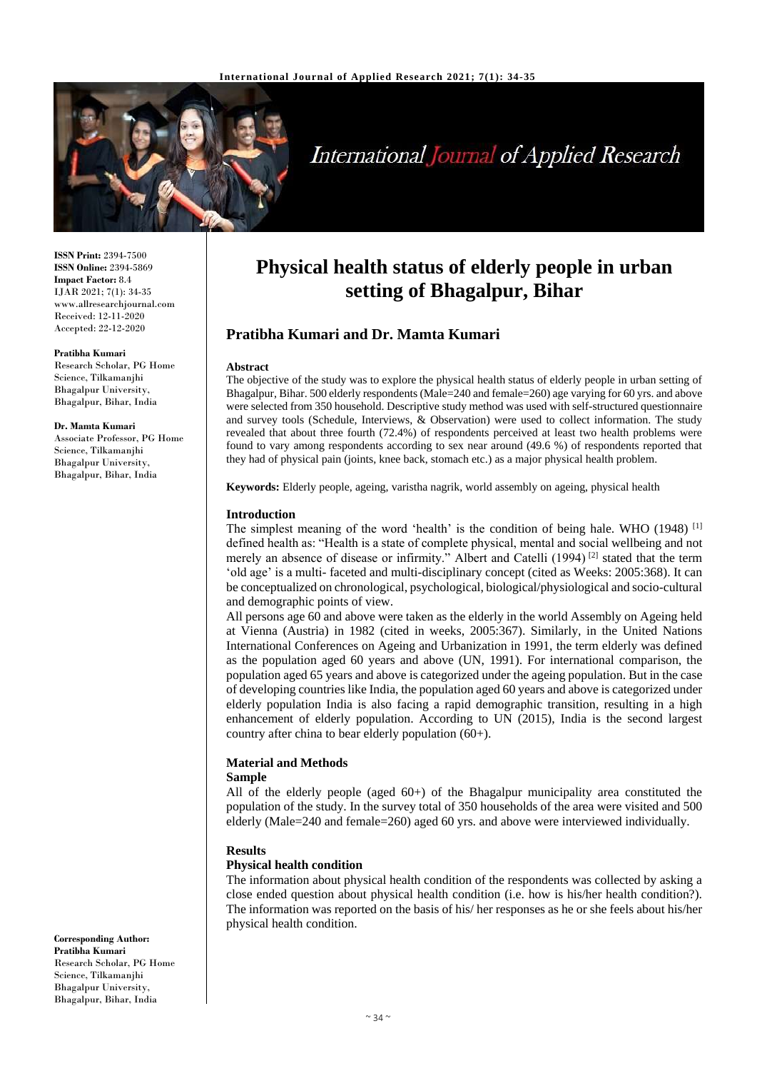

# **International Journal of Applied Research**

**ISSN Print:** 2394-7500 **ISSN Online:** 2394-5869 **Impact Factor:** 8.4 IJAR 2021; 7(1): 34-35 www.allresearchjournal.com Received: 12-11-2020 Accepted: 22-12-2020

#### **Pratibha Kumari**

Research Scholar, PG Home Science, Tilkamanjhi Bhagalpur University, Bhagalpur, Bihar, India

#### **Dr. Mamta Kumari**

Associate Professor, PG Home Science, Tilkamanjhi Bhagalpur University, Bhagalpur, Bihar, India

#### **Corresponding Author: Pratibha Kumari** Research Scholar, PG Home Science, Tilkamanjhi Bhagalpur University, Bhagalpur, Bihar, India

## **Physical health status of elderly people in urban setting of Bhagalpur, Bihar**

## **Pratibha Kumari and Dr. Mamta Kumari**

#### **Abstract**

The objective of the study was to explore the physical health status of elderly people in urban setting of Bhagalpur, Bihar. 500 elderly respondents (Male=240 and female=260) age varying for 60 yrs. and above were selected from 350 household. Descriptive study method was used with self-structured questionnaire and survey tools (Schedule, Interviews, & Observation) were used to collect information. The study revealed that about three fourth (72.4%) of respondents perceived at least two health problems were found to vary among respondents according to sex near around (49.6 %) of respondents reported that they had of physical pain (joints, knee back, stomach etc.) as a major physical health problem.

**Keywords:** Elderly people, ageing, varistha nagrik, world assembly on ageing, physical health

#### **Introduction**

The simplest meaning of the word 'health' is the condition of being hale. WHO (1948)<sup>[1]</sup> defined health as: "Health is a state of complete physical, mental and social wellbeing and not merely an absence of disease or infirmity." Albert and Catelli (1994)<sup>[2]</sup> stated that the term 'old age' is a multi- faceted and multi-disciplinary concept (cited as Weeks: 2005:368). It can be conceptualized on chronological, psychological, biological/physiological and socio-cultural and demographic points of view.

All persons age 60 and above were taken as the elderly in the world Assembly on Ageing held at Vienna (Austria) in 1982 (cited in weeks, 2005:367). Similarly, in the United Nations International Conferences on Ageing and Urbanization in 1991, the term elderly was defined as the population aged 60 years and above (UN, 1991). For international comparison, the population aged 65 years and above is categorized under the ageing population. But in the case of developing countries like India, the population aged 60 years and above is categorized under elderly population India is also facing a rapid demographic transition, resulting in a high enhancement of elderly population. According to UN (2015), India is the second largest country after china to bear elderly population (60+).

## **Material and Methods**

#### **Sample**

All of the elderly people (aged  $60+)$  of the Bhagalpur municipality area constituted the population of the study. In the survey total of 350 households of the area were visited and 500 elderly (Male=240 and female=260) aged 60 yrs. and above were interviewed individually.

## **Results**

#### **Physical health condition**

The information about physical health condition of the respondents was collected by asking a close ended question about physical health condition (i.e. how is his/her health condition?). The information was reported on the basis of his/ her responses as he or she feels about his/her physical health condition.